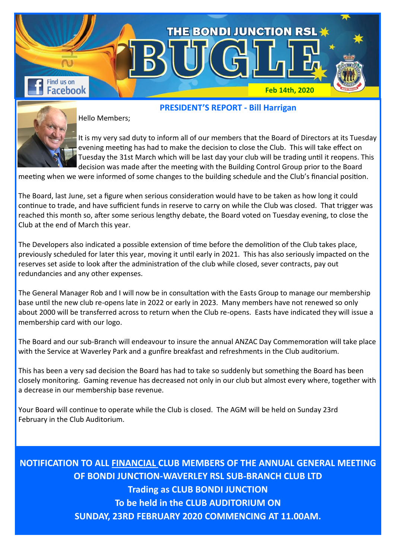

Hello Members;

It is my very sad duty to inform all of our members that the Board of Directors at its Tuesday evening meeting has had to make the decision to close the Club. This will take effect on Tuesday the 31st March which will be last day your club will be trading until it reopens. This decision was made after the meeting with the Building Control Group prior to the Board

**PRESIDENT'S REPORT - Bill Harrigan**

meeting when we were informed of some changes to the building schedule and the Club's financial position.

The Board, last June, set a figure when serious consideration would have to be taken as how long it could continue to trade, and have sufficient funds in reserve to carry on while the Club was closed. That trigger was reached this month so, after some serious lengthy debate, the Board voted on Tuesday evening, to close the Club at the end of March this year.

The Developers also indicated a possible extension of time before the demolition of the Club takes place, previously scheduled for later this year, moving it until early in 2021. This has also seriously impacted on the reserves set aside to look after the administration of the club while closed, sever contracts, pay out redundancies and any other expenses.

The General Manager Rob and I will now be in consultation with the Easts Group to manage our membership base until the new club re-opens late in 2022 or early in 2023. Many members have not renewed so only about 2000 will be transferred across to return when the Club re-opens. Easts have indicated they will issue a membership card with our logo.

The Board and our sub-Branch will endeavour to insure the annual ANZAC Day Commemoration will take place with the Service at Waverley Park and a gunfire breakfast and refreshments in the Club auditorium.

This has been a very sad decision the Board has had to take so suddenly but something the Board has been closely monitoring. Gaming revenue has decreased not only in our club but almost every where, together with a decrease in our membership base revenue.

Your Board will continue to operate while the Club is closed. The AGM will be held on Sunday 23rd February in the Club Auditorium.

**NOTIFICATION TO ALL FINANCIAL CLUB MEMBERS OF THE ANNUAL GENERAL MEETING OF BONDI JUNCTION-WAVERLEY RSL SUB-BRANCH CLUB LTD Trading as CLUB BONDI JUNCTION To be held in the CLUB AUDITORIUM ON SUNDAY, 23RD FEBRUARY 2020 COMMENCING AT 11.00AM.**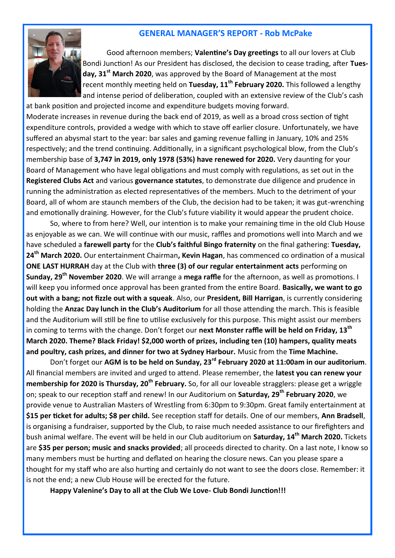## **GENERAL MANAGER'S REPORT - Rob McPake**



Good afternoon members; **Valentine's Day greetings** to all our lovers at Club Bondi Junction! As our President has disclosed, the decision to cease trading, after **Tuesday, 31st March 2020**, was approved by the Board of Management at the most recent monthly meeting held on **Tuesday, 11th February 2020.** This followed a lengthy and intense period of deliberation, coupled with an extensive review of the Club's cash

at bank position and projected income and expenditure budgets moving forward. Moderate increases in revenue during the back end of 2019, as well as a broad cross section of tight expenditure controls, provided a wedge with which to stave off earlier closure. Unfortunately, we have suffered an abysmal start to the year: bar sales and gaming revenue falling in January, 10% and 25% respectively; and the trend continuing. Additionally, in a significant psychological blow, from the Club's membership base of **3,747 in 2019, only 1978 (53%) have renewed for 2020.** Very daunting for your Board of Management who have legal obligations and must comply with regulations, as set out in the **Registered Clubs Act** and various **governance statutes**, to demonstrate due diligence and prudence in running the administration as elected representatives of the members. Much to the detriment of your Board, all of whom are staunch members of the Club, the decision had to be taken; it was gut-wrenching and emotionally draining. However, for the Club's future viability it would appear the prudent choice.

So, where to from here? Well, our intention is to make your remaining time in the old Club House as enjoyable as we can. We will continue with our music, raffles and promotions well into March and we have scheduled a **farewell party** for the **Club's faithful Bingo fraternity** on the final gathering: **Tuesday, 24th March 2020.** Our entertainment Chairman**, Kevin Hagan**, has commenced co ordination of a musical **ONE LAST HURRAH** day at the Club with **three (3) of our regular entertainment acts** performing on **Sunday, 29th November 2020**. We will arrange a **mega raffle** for the afternoon, as well as promotions. I will keep you informed once approval has been granted from the entire Board. **Basically, we want to go out with a bang; not fizzle out with a squeak**. Also, our **President, Bill Harrigan**, is currently considering holding the **Anzac Day lunch in the Club's Auditorium** for all those attending the march. This is feasible and the Auditorium will still be fine to utilise exclusively for this purpose. This might assist our members in coming to terms with the change. Don't forget our **next Monster raffle will be held on Friday, 13th March 2020. Theme? Black Friday! \$2,000 worth of prizes, including ten (10) hampers, quality meats and poultry, cash prizes, and dinner for two at Sydney Harbour.** Music from the **Time Machine.**

Don't forget our **AGM is to be held on Sunday, 23rd February 2020 at 11:00am in our auditorium**. All financial members are invited and urged to attend. Please remember, the **latest you can renew your membership for 2020 is Thursday, 20th February.** So, for all our loveable stragglers: please get a wriggle on; speak to our reception staff and renew! In our Auditorium on **Saturday, 29th February 2020**, we provide venue to Australian Masters of Wrestling from 6:30pm to 9:30pm. Great family entertainment at **\$15 per ticket for adults; \$8 per child.** See reception staff for details. One of our members, **Ann Bradsell**, is organising a fundraiser, supported by the Club, to raise much needed assistance to our firefighters and bush animal welfare. The event will be held in our Club auditorium on **Saturday, 14th March 2020.** Tickets are **\$35 per person; music and snacks provided**; all proceeds directed to charity. On a last note, I know so many members must be hurting and deflated on hearing the closure news. Can you please spare a thought for my staff who are also hurting and certainly do not want to see the doors close. Remember: it is not the end; a new Club House will be erected for the future.

**Happy Valenine's Day to all at the Club We Love- Club Bondi Junction!!!**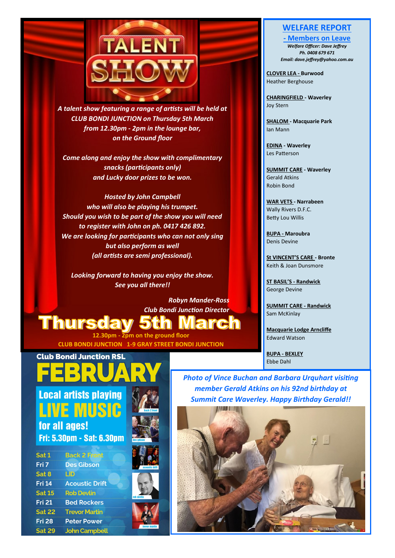

*A talent show featuring a range of artists will be held at CLUB BONDI JUNCTION on Thursday 5th March from 12.30pm - 2pm in the lounge bar, on the Ground floor*

*Come along and enjoy the show with complimentary snacks (participants only) and Lucky door prizes to be won.*

*Hosted by John Campbell who will also be playing his trumpet. Should you wish to be part of the show you will need to register with John on ph. 0417 426 892. We are looking for participants who can not only sing but also perform as well (all artists are semi professional).*

*Looking forward to having you enjoy the show. See you all there!!*

> *Robyn Mander-Ross Club Bondi Junction Director*

**Thursday 5th March** 

**Club Bondi Junction RSL** 

**12.30pm - 2pm on the ground floor CLUB BONDI JUNCTION 1-9 GRAY STREET BONDI JUNCTION**

## **WELFARE REPORT**

**- Members on Leave** *Welfare Officer: Dave Jeffrey Ph. 0408 679 671 Email: dave.jeffrey@yahoo.com.au* 

**CLOVER LEA - Burwood**  Heather Berghouse

**CHARINGFIELD - Waverley**  Joy Stern

**SHALOM - Macquarie Park** Ian Mann

**EDINA - Waverley** Les Patterson

**SUMMIT CARE - Waverley**  Gerald Atkins Robin Bond

**WAR VETS - Narrabeen** Wally Rivers D.F.C. Betty Lou Willis

**BUPA - Maroubra**  Denis Devine

**St VINCENT'S CARE - Bronte** Keith & Joan Dunsmore

**ST BASIL'S - Randwick** George Devine

**SUMMIT CARE - Randwick** Sam McKinlay

**Macquarie Lodge Arncliffe** Edward Watson

**BUPA - BEXLEY** Ebbe Dahl



**Fri: 5.30pm - Sat: 6.30pm** 

| Sat 1         | <b>Back 2 Front</b>   |
|---------------|-----------------------|
| Fri 7         | <b>Des Gibson</b>     |
| Sat 8         | LID                   |
| <b>Fri 14</b> | <b>Acoustic Drift</b> |
| <b>Sat 15</b> | <b>Rob Devlin</b>     |
| <b>Fri 21</b> | <b>Bed Rockers</b>    |
| <b>Sat 22</b> | <b>Trevor Martin</b>  |
| <b>Fri 28</b> | <b>Peter Power</b>    |
| <b>Sat 29</b> | <b>John Campbell</b>  |